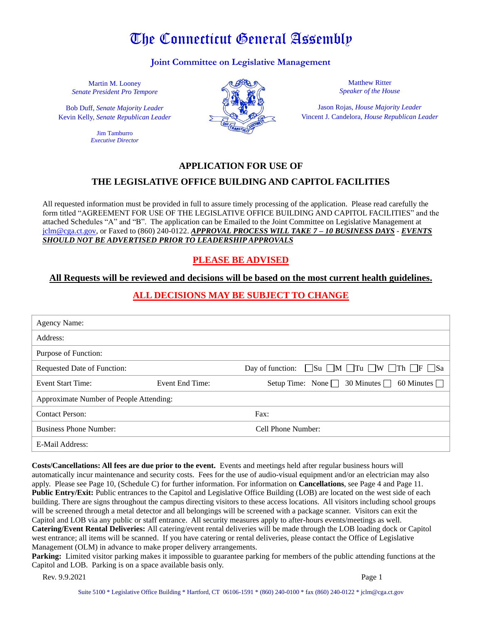# The Connecticut General Assembly

#### **Joint Committee on Legislative Management**

Martin M. Looney *Senate President Pro Tempore*

Bob Duff, *Senate Majority Leader* Kevin Kelly, *Senate Republican Leader*

> Jim Tamburro *Executive Director*



Matthew Ritter *Speaker of the House*

Jason Rojas, *House Majority Leader* Vincent J. Candelora, *House Republican Leader*

#### **APPLICATION FOR USE OF**

### **THE LEGISLATIVE OFFICE BUILDING AND CAPITOL FACILITIES**

All requested information must be provided in full to assure timely processing of the application. Please read carefully the form titled "AGREEMENT FOR USE OF THE LEGISLATIVE OFFICE BUILDING AND CAPITOL FACILITIES" and the attached Schedules "A" and "B". The application can be Emailed to the Joint Committee on Legislative Management at [jclm@cga.ct.gov,](mailto:jclm@cga.ct.gov) or Faxed to (860) 240-0122. *APPROVAL PROCESS WILL TAKE 7 – 10 BUSINESS DAYS* - *EVENTS SHOULD NOT BE ADVERTISED PRIOR TO LEADERSHIP APPROVALS*

# **PLEASE BE ADVISED**

#### **All Requests will be reviewed and decisions will be based on the most current health guidelines.**

### **ALL DECISIONS MAY BE SUBJECT TO CHANGE**

| <b>Agency Name:</b>                     |                 |                                                                                        |
|-----------------------------------------|-----------------|----------------------------------------------------------------------------------------|
| Address:                                |                 |                                                                                        |
| Purpose of Function:                    |                 |                                                                                        |
| Requested Date of Function:             |                 | $\Box$ Su $\Box$ M $\Box$ Tu $\Box$ W $\Box$ Th $\Box$ F $\Box$ Sa<br>Day of function: |
| <b>Event Start Time:</b>                | Event End Time: | Setup Time: None $\Box$ 30 Minutes $\Box$ 60 Minutes $\Box$                            |
| Approximate Number of People Attending: |                 |                                                                                        |
| <b>Contact Person:</b>                  |                 | Fax:                                                                                   |
| <b>Business Phone Number:</b>           |                 | Cell Phone Number:                                                                     |
| E-Mail Address:                         |                 |                                                                                        |

**Costs/Cancellations: All fees are due prior to the event.** Events and meetings held after regular business hours will automatically incur maintenance and security costs. Fees for the use of audio-visual equipment and/or an electrician may also apply. Please see Page 10, (Schedule C) for further information. For information on **Cancellations**, see Page 4 and Page 11. **Public Entry/Exit:** Public entrances to the Capitol and Legislative Office Building (LOB) are located on the west side of each building. There are signs throughout the campus directing visitors to these access locations. All visitors including school groups will be screened through a metal detector and all belongings will be screened with a package scanner. Visitors can exit the Capitol and LOB via any public or staff entrance. All security measures apply to after-hours events/meetings as well. **Catering/Event Rental Deliveries:** All catering/event rental deliveries will be made through the LOB loading dock or Capitol west entrance; all items will be scanned. If you have catering or rental deliveries, please contact the Office of Legislative Management (OLM) in advance to make proper delivery arrangements.

**Parking:** Limited visitor parking makes it impossible to guarantee parking for members of the public attending functions at the Capitol and LOB. Parking is on a space available basis only.

**Rev. 9.9.2021** Page 1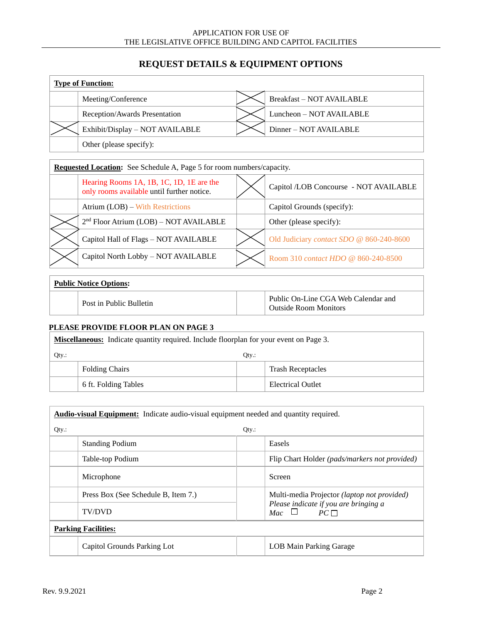# **REQUEST DETAILS & EQUIPMENT OPTIONS**

| <b>Type of Function:</b> |                                 |  |                                  |  |
|--------------------------|---------------------------------|--|----------------------------------|--|
|                          | Meeting/Conference              |  | <b>Breakfast - NOT AVAILABLE</b> |  |
|                          | Reception/Awards Presentation   |  | Luncheon - NOT AVAILABLE         |  |
|                          | Exhibit/Display - NOT AVAILABLE |  | Dinner - NOT AVAILABLE           |  |
|                          | Other (please specify):         |  |                                  |  |

| <b>Requested Location:</b> See Schedule A, Page 5 for room numbers/capacity.           |  |                                          |  |  |
|----------------------------------------------------------------------------------------|--|------------------------------------------|--|--|
| Hearing Rooms 1A, 1B, 1C, 1D, 1E are the<br>only rooms available until further notice. |  | Capitol /LOB Concourse - NOT AVAILABLE   |  |  |
| Atrium (LOB) – With Restrictions                                                       |  | Capitol Grounds (specify):               |  |  |
| 2 <sup>nd</sup> Floor Atrium (LOB) - NOT AVAILABLE                                     |  | Other (please specify):                  |  |  |
| Capitol Hall of Flags - NOT AVAILABLE                                                  |  | Old Judiciary contact SDO @ 860-240-8600 |  |  |
| Capitol North Lobby - NOT AVAILABLE                                                    |  | Room 310 contact HDO @ 860-240-8500      |  |  |

#### **Public Notice Options:**

|--|

#### **PLEASE PROVIDE FLOOR PLAN ON PAGE 3**

| <b>Miscellaneous:</b> Indicate quantity required. Include floorplan for your event on Page 3. |                       |  |                          |
|-----------------------------------------------------------------------------------------------|-----------------------|--|--------------------------|
| $Otv$ :<br>$Qty$ :                                                                            |                       |  |                          |
|                                                                                               | <b>Folding Chairs</b> |  | <b>Trash Receptacles</b> |
|                                                                                               | 6 ft. Folding Tables  |  | Electrical Outlet        |

| <b>Audio-visual Equipment:</b> Indicate audio-visual equipment needed and quantity required. |                                                                 |  |
|----------------------------------------------------------------------------------------------|-----------------------------------------------------------------|--|
| $Qty$ .:                                                                                     | $Qty$ :                                                         |  |
| <b>Standing Podium</b>                                                                       | Easels                                                          |  |
| Table-top Podium                                                                             | Flip Chart Holder (pads/markers not provided)                   |  |
| Microphone                                                                                   | Screen                                                          |  |
| Press Box (See Schedule B, Item 7.)                                                          | Multi-media Projector (laptop not provided)                     |  |
| <b>TV/DVD</b>                                                                                | Please indicate if you are bringing a<br>Mac $\Box$<br>$PC\Box$ |  |
| <b>Parking Facilities:</b>                                                                   |                                                                 |  |
| Capitol Grounds Parking Lot                                                                  | LOB Main Parking Garage                                         |  |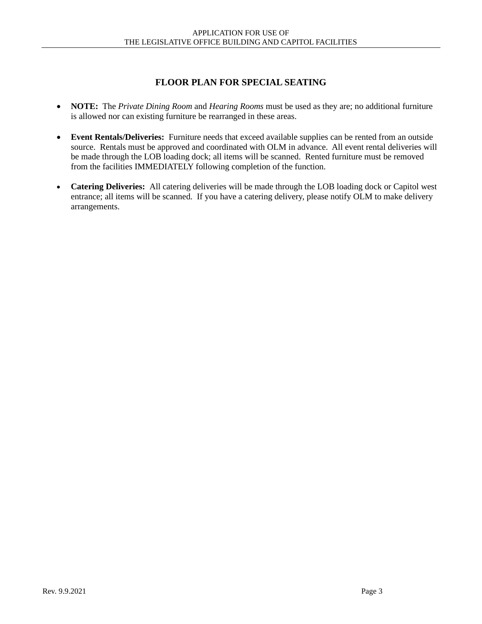# **FLOOR PLAN FOR SPECIAL SEATING**

- **NOTE:** The *Private Dining Room* and *Hearing Rooms* must be used as they are; no additional furniture is allowed nor can existing furniture be rearranged in these areas.
- **Event Rentals/Deliveries:**Furniture needs that exceed available supplies can be rented from an outside source. Rentals must be approved and coordinated with OLM in advance. All event rental deliveries will be made through the LOB loading dock; all items will be scanned. Rented furniture must be removed from the facilities IMMEDIATELY following completion of the function.
- **Catering Deliveries:** All catering deliveries will be made through the LOB loading dock or Capitol west entrance; all items will be scanned. If you have a catering delivery, please notify OLM to make delivery arrangements.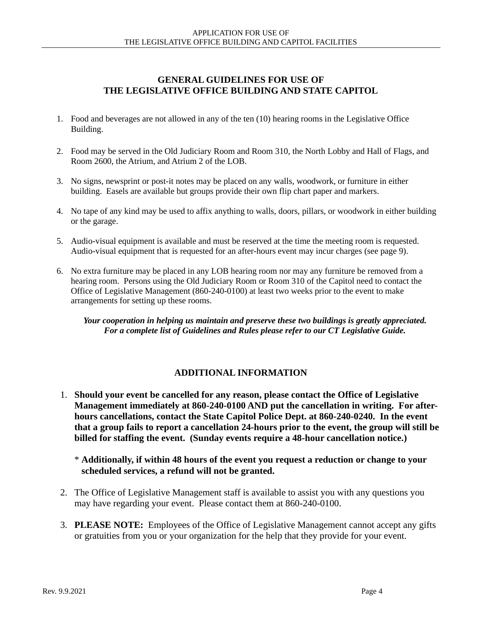# **GENERAL GUIDELINES FOR USE OF THE LEGISLATIVE OFFICE BUILDING AND STATE CAPITOL**

- 1. Food and beverages are not allowed in any of the ten (10) hearing rooms in the Legislative Office Building.
- 2. Food may be served in the Old Judiciary Room and Room 310, the North Lobby and Hall of Flags, and Room 2600, the Atrium, and Atrium 2 of the LOB.
- 3. No signs, newsprint or post-it notes may be placed on any walls, woodwork, or furniture in either building. Easels are available but groups provide their own flip chart paper and markers.
- 4. No tape of any kind may be used to affix anything to walls, doors, pillars, or woodwork in either building or the garage.
- 5. Audio-visual equipment is available and must be reserved at the time the meeting room is requested. Audio-visual equipment that is requested for an after-hours event may incur charges (see page 9).
- 6. No extra furniture may be placed in any LOB hearing room nor may any furniture be removed from a hearing room. Persons using the Old Judiciary Room or Room 310 of the Capitol need to contact the Office of Legislative Management (860-240-0100) at least two weeks prior to the event to make arrangements for setting up these rooms.

*Your cooperation in helping us maintain and preserve these two buildings is greatly appreciated. For a complete list of Guidelines and Rules please refer to our CT Legislative Guide.*

### **ADDITIONAL INFORMATION**

1. **Should your event be cancelled for any reason, please contact the Office of Legislative Management immediately at 860-240-0100 AND put the cancellation in writing. For afterhours cancellations, contact the State Capitol Police Dept. at 860-240-0240. In the event that a group fails to report a cancellation 24-hours prior to the event, the group will still be billed for staffing the event. (Sunday events require a 48-hour cancellation notice.)** 

\* **Additionally, if within 48 hours of the event you request a reduction or change to your scheduled services, a refund will not be granted.**

- 2. The Office of Legislative Management staff is available to assist you with any questions you may have regarding your event. Please contact them at 860-240-0100.
- 3. **PLEASE NOTE:** Employees of the Office of Legislative Management cannot accept any gifts or gratuities from you or your organization for the help that they provide for your event.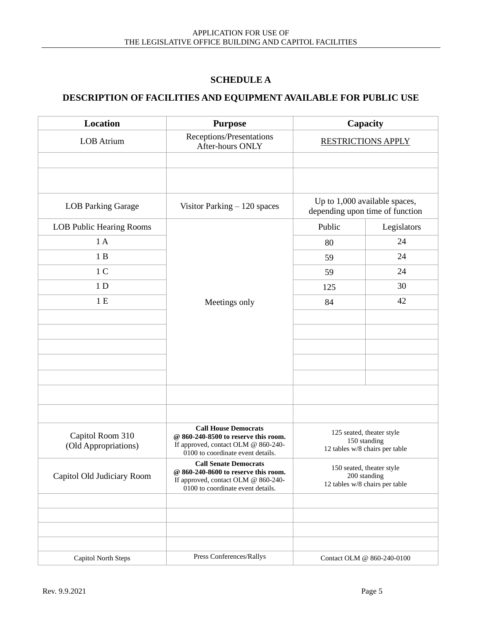# **SCHEDULE A**

# **DESCRIPTION OF FACILITIES AND EQUIPMENT AVAILABLE FOR PUBLIC USE**

| Location                                 | <b>Purpose</b>                                                                                                                                   | Capacity                  |                                                                             |
|------------------------------------------|--------------------------------------------------------------------------------------------------------------------------------------------------|---------------------------|-----------------------------------------------------------------------------|
| <b>LOB</b> Atrium                        | Receptions/Presentations<br>After-hours ONLY                                                                                                     | <b>RESTRICTIONS APPLY</b> |                                                                             |
|                                          |                                                                                                                                                  |                           |                                                                             |
|                                          |                                                                                                                                                  |                           |                                                                             |
| <b>LOB Parking Garage</b>                | Visitor Parking $-120$ spaces                                                                                                                    |                           | Up to 1,000 available spaces,<br>depending upon time of function            |
| LOB Public Hearing Rooms                 |                                                                                                                                                  | Public                    | Legislators                                                                 |
| 1A                                       |                                                                                                                                                  | 80                        | 24                                                                          |
| 1B                                       |                                                                                                                                                  | 59                        | 24                                                                          |
| 1 <sub>C</sub>                           |                                                                                                                                                  | 59                        | 24                                                                          |
| 1 <sub>D</sub>                           |                                                                                                                                                  | 125                       | 30                                                                          |
| 1E                                       | Meetings only                                                                                                                                    | 84                        | 42                                                                          |
|                                          |                                                                                                                                                  |                           |                                                                             |
|                                          |                                                                                                                                                  |                           |                                                                             |
|                                          |                                                                                                                                                  |                           |                                                                             |
|                                          |                                                                                                                                                  |                           |                                                                             |
|                                          |                                                                                                                                                  |                           |                                                                             |
|                                          |                                                                                                                                                  |                           |                                                                             |
|                                          |                                                                                                                                                  |                           |                                                                             |
| Capitol Room 310<br>(Old Appropriations) | <b>Call House Democrats</b><br>@ 860-240-8500 to reserve this room.<br>If approved, contact OLM @ 860-240-<br>0100 to coordinate event details.  |                           | 125 seated, theater style<br>150 standing<br>12 tables w/8 chairs per table |
| Capitol Old Judiciary Room               | <b>Call Senate Democrats</b><br>@ 860-240-8600 to reserve this room.<br>If approved, contact OLM @ 860-240-<br>0100 to coordinate event details. |                           | 150 seated, theater style<br>200 standing<br>12 tables w/8 chairs per table |
|                                          |                                                                                                                                                  |                           |                                                                             |
|                                          |                                                                                                                                                  |                           |                                                                             |
|                                          |                                                                                                                                                  |                           |                                                                             |
|                                          |                                                                                                                                                  |                           |                                                                             |
| Capitol North Steps                      | Press Conferences/Rallys                                                                                                                         |                           | Contact OLM @ 860-240-0100                                                  |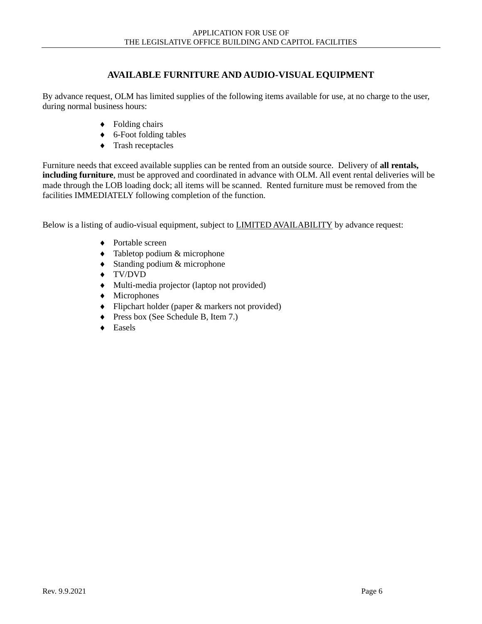### **AVAILABLE FURNITURE AND AUDIO-VISUAL EQUIPMENT**

By advance request, OLM has limited supplies of the following items available for use, at no charge to the user, during normal business hours:

- ◆ Folding chairs
- ◆ 6-Foot folding tables
- $\triangleleft$  Trash receptacles

Furniture needs that exceed available supplies can be rented from an outside source. Delivery of **all rentals, including furniture**, must be approved and coordinated in advance with OLM. All event rental deliveries will be made through the LOB loading dock; all items will be scanned. Rented furniture must be removed from the facilities IMMEDIATELY following completion of the function.

Below is a listing of audio-visual equipment, subject to **LIMITED AVAILABILITY** by advance request:

- ◆ Portable screen
- Tabletop podium & microphone
- Standing podium & microphone
- TV/DVD
- Multi-media projector (laptop not provided)
- Microphones
- Flipchart holder (paper & markers not provided)
- ◆ Press box (See Schedule B, Item 7.)
- ◆ Easels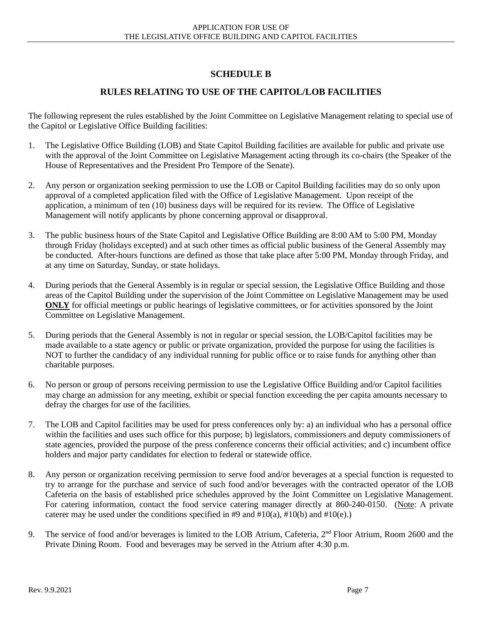# **SCHEDULE B**

# **RULES RELATING TO USE OF THE CAPITOL/LOB FACILITIES**

The following represent the rules established by the Joint Committee on Legislative Management relating to special use of the Capitol or Legislative Office Building facilities:

- 1. The Legislative Office Building (LOB) and State Capitol Building facilities are available for public and private use with the approval of the Joint Committee on Legislative Management acting through its co-chairs (the Speaker of the House of Representatives and the President Pro Tempore of the Senate).
- 2. Any person or organization seeking permission to use the LOB or Capitol Building facilities may do so only upon approval of a completed application filed with the Office of Legislative Management. Upon receipt of the application, a minimum of ten (10) business days will be required for its review. The Office of Legislative Management will notify applicants by phone concerning approval or disapproval.
- 3. The public business hours of the State Capitol and Legislative Office Building are 8:00 AM to 5:00 PM, Monday through Friday (holidays excepted) and at such other times as official public business of the General Assembly may be conducted. After-hours functions are defined as those that take place after 5:00 PM, Monday through Friday, and at any time on Saturday, Sunday, or state holidays.
- 4. During periods that the General Assembly is in regular or special session, the Legislative Office Building and those areas of the Capitol Building under the supervision of the Joint Committee on Legislative Management may be used **ONLY** for official meetings or public hearings of legislative committees, or for activities sponsored by the Joint Committee on Legislative Management.
- 5. During periods that the General Assembly is not in regular or special session, the LOB/Capitol facilities may be made available to a state agency or public or private organization, provided the purpose for using the facilities is NOT to further the candidacy of any individual running for public office or to raise funds for anything other than charitable purposes.
- 6. No person or group of persons receiving permission to use the Legislative Office Building and/or Capitol facilities may charge an admission for any meeting, exhibit or special function exceeding the per capita amounts necessary to defray the charges for use of the facilities.
- 7. The LOB and Capitol facilities may be used for press conferences only by: a) an individual who has a personal office within the facilities and uses such office for this purpose; b) legislators, commissioners and deputy commissioners of state agencies, provided the purpose of the press conference concerns their official activities; and c) incumbent office holders and major party candidates for election to federal or statewide office.
- 8. Any person or organization receiving permission to serve food and/or beverages at a special function is requested to try to arrange for the purchase and service of such food and/or beverages with the contracted operator of the LOB Cafeteria on the basis of established price schedules approved by the Joint Committee on Legislative Management. For catering information, contact the food service catering manager directly at 860-240-0150. (Note: A private caterer may be used under the conditions specified in #9 and #10(a), #10(b) and #10(e).)
- 9. The service of food and/or beverages is limited to the LOB Atrium, Cafeteria, 2<sup>nd</sup> Floor Atrium, Room 2600 and the Private Dining Room. Food and beverages may be served in the Atrium after 4:30 p.m.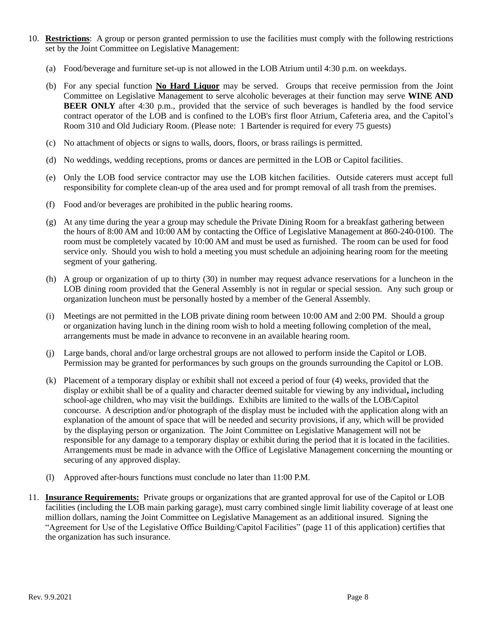- 10. **Restrictions**: A group or person granted permission to use the facilities must comply with the following restrictions set by the Joint Committee on Legislative Management:
	- (a) Food/beverage and furniture set-up is not allowed in the LOB Atrium until 4:30 p.m. on weekdays.
	- (b) For any special function **No Hard Liquor** may be served. Groups that receive permission from the Joint Committee on Legislative Management to serve alcoholic beverages at their function may serve **WINE AND BEER ONLY** after 4:30 p.m., provided that the service of such beverages is handled by the food service contract operator of the LOB and is confined to the LOB's first floor Atrium, Cafeteria area, and the Capitol's Room 310 and Old Judiciary Room. (Please note: 1 Bartender is required for every 75 guests)
	- (c) No attachment of objects or signs to walls, doors, floors, or brass railings is permitted.
	- (d) No weddings, wedding receptions, proms or dances are permitted in the LOB or Capitol facilities.
	- (e) Only the LOB food service contractor may use the LOB kitchen facilities. Outside caterers must accept full responsibility for complete clean-up of the area used and for prompt removal of all trash from the premises.
	- (f) Food and/or beverages are prohibited in the public hearing rooms.
	- (g) At any time during the year a group may schedule the Private Dining Room for a breakfast gathering between the hours of 8:00 AM and 10:00 AM by contacting the Office of Legislative Management at 860-240-0100. The room must be completely vacated by 10:00 AM and must be used as furnished. The room can be used for food service only. Should you wish to hold a meeting you must schedule an adjoining hearing room for the meeting segment of your gathering.
	- (h) A group or organization of up to thirty (30) in number may request advance reservations for a luncheon in the LOB dining room provided that the General Assembly is not in regular or special session. Any such group or organization luncheon must be personally hosted by a member of the General Assembly.
	- (i) Meetings are not permitted in the LOB private dining room between 10:00 AM and 2:00 PM. Should a group or organization having lunch in the dining room wish to hold a meeting following completion of the meal, arrangements must be made in advance to reconvene in an available hearing room.
	- (j) Large bands, choral and/or large orchestral groups are not allowed to perform inside the Capitol or LOB. Permission may be granted for performances by such groups on the grounds surrounding the Capitol or LOB.
	- (k) Placement of a temporary display or exhibit shall not exceed a period of four (4) weeks, provided that the display or exhibit shall be of a quality and character deemed suitable for viewing by any individual**,** including school-age children, who may visit the buildings. Exhibits are limited to the walls of the LOB/Capitol concourse. A description and/or photograph of the display must be included with the application along with an explanation of the amount of space that will be needed and security provisions, if any, which will be provided by the displaying person or organization. The Joint Committee on Legislative Management will not be responsible for any damage to a temporary display or exhibit during the period that it is located in the facilities. Arrangements must be made in advance with the Office of Legislative Management concerning the mounting or securing of any approved display.
	- (l) Approved after-hours functions must conclude no later than 11:00 P.M.
- 11. **Insurance Requirements:** Private groups or organizations that are granted approval for use of the Capitol or LOB facilities (including the LOB main parking garage), must carry combined single limit liability coverage of at least one million dollars, naming the Joint Committee on Legislative Management as an additional insured. Signing the "Agreement for Use of the Legislative Office Building/Capitol Facilities" (page 11 of this application) certifies that the organization has such insurance.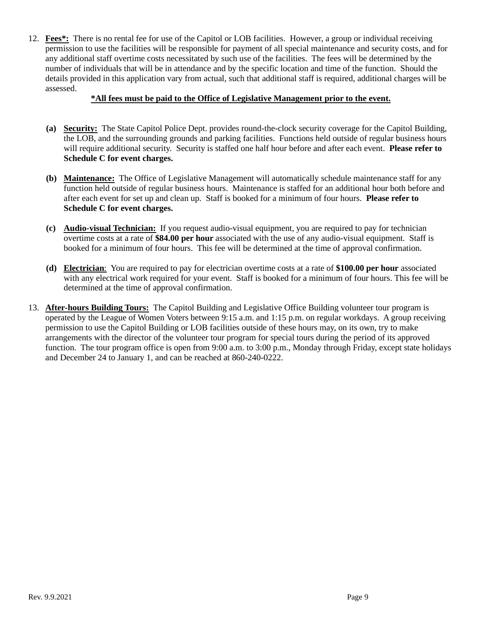12. **Fees\*:** There is no rental fee for use of the Capitol or LOB facilities. However, a group or individual receiving permission to use the facilities will be responsible for payment of all special maintenance and security costs, and for any additional staff overtime costs necessitated by such use of the facilities. The fees will be determined by the number of individuals that will be in attendance and by the specific location and time of the function. Should the details provided in this application vary from actual, such that additional staff is required, additional charges will be assessed.

#### **\*All fees must be paid to the Office of Legislative Management prior to the event.**

- **(a) Security:** The State Capitol Police Dept. provides round-the-clock security coverage for the Capitol Building, the LOB, and the surrounding grounds and parking facilities. Functions held outside of regular business hours will require additional security. Security is staffed one half hour before and after each event. **Please refer to Schedule C for event charges.**
- **(b) Maintenance:** The Office of Legislative Management will automatically schedule maintenance staff for any function held outside of regular business hours. Maintenance is staffed for an additional hour both before and after each event for set up and clean up. Staff is booked for a minimum of four hours. **Please refer to Schedule C for event charges.**
- **(c) Audio-visual Technician:** If you request audio-visual equipment, you are required to pay for technician overtime costs at a rate of **\$84.00 per hour** associated with the use of any audio-visual equipment. Staff is booked for a minimum of four hours. This fee will be determined at the time of approval confirmation.
- **(d) Electrician**: You are required to pay for electrician overtime costs at a rate of **\$100.00 per hour** associated with any electrical work required for your event. Staff is booked for a minimum of four hours. This fee will be determined at the time of approval confirmation.
- 13. **After-hours Building Tours:** The Capitol Building and Legislative Office Building volunteer tour program is operated by the League of Women Voters between 9:15 a.m. and 1:15 p.m. on regular workdays. A group receiving permission to use the Capitol Building or LOB facilities outside of these hours may, on its own, try to make arrangements with the director of the volunteer tour program for special tours during the period of its approved function. The tour program office is open from 9:00 a.m. to 3:00 p.m., Monday through Friday, except state holidays and December 24 to January 1, and can be reached at 860-240-0222.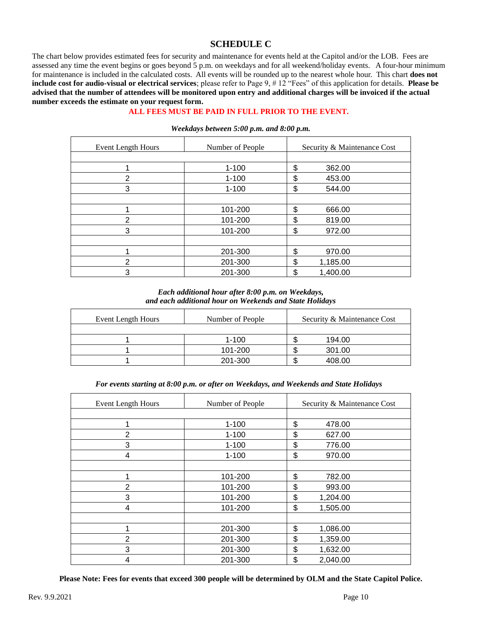### **SCHEDULE C**

The chart below provides estimated fees for security and maintenance for events held at the Capitol and/or the LOB. Fees are assessed any time the event begins or goes beyond 5 p.m. on weekdays and for all weekend/holiday events. A four-hour minimum for maintenance is included in the calculated costs. All events will be rounded up to the nearest whole hour. This chart **does not include cost for audio-visual or electrical services**; please refer to Page 9, # 12 "Fees" of this application for details. **Please be advised that the number of attendees will be monitored upon entry and additional charges will be invoiced if the actual number exceeds the estimate on your request form.**

#### **ALL FEES MUST BE PAID IN FULL PRIOR TO THE EVENT.**

| Event Length Hours | Number of People | Security & Maintenance Cost |
|--------------------|------------------|-----------------------------|
|                    |                  |                             |
|                    | $1 - 100$        | \$<br>362.00                |
| $\overline{2}$     | $1 - 100$        | \$<br>453.00                |
| 3                  | $1 - 100$        | \$<br>544.00                |
|                    |                  |                             |
|                    | 101-200          | \$<br>666.00                |
| $\overline{2}$     | 101-200          | \$<br>819.00                |
| 3                  | 101-200          | \$<br>972.00                |
|                    |                  |                             |
|                    | 201-300          | \$<br>970.00                |
| $\overline{2}$     | 201-300          | \$<br>1,185.00              |
| 3                  | 201-300          | \$<br>1,400.00              |

#### *Weekdays between 5:00 p.m. and 8:00 p.m.*

*Each additional hour after 8:00 p.m. on Weekdays, and each additional hour on Weekends and State Holidays*

| Event Length Hours | Number of People | Security & Maintenance Cost |
|--------------------|------------------|-----------------------------|
|                    |                  |                             |
|                    | $1 - 100$        | 194.00                      |
|                    | 101-200          | 301.00                      |
|                    | 201-300          | 408.00                      |

*For events starting at 8:00 p.m. or after on Weekdays, and Weekends and State Holidays*

| <b>Event Length Hours</b> | Number of People | Security & Maintenance Cost |  |
|---------------------------|------------------|-----------------------------|--|
|                           |                  |                             |  |
| 1                         | $1 - 100$        | \$<br>478.00                |  |
| $\overline{2}$            | $1 - 100$        | \$<br>627.00                |  |
| 3                         | $1 - 100$        | \$<br>776.00                |  |
| 4                         | $1 - 100$        | \$<br>970.00                |  |
|                           |                  |                             |  |
| 1                         | 101-200          | \$<br>782.00                |  |
| $\overline{2}$            | 101-200          | \$<br>993.00                |  |
| 3                         | 101-200          | \$<br>1,204.00              |  |
| 4                         | 101-200          | \$<br>1,505.00              |  |
|                           |                  |                             |  |
| 1                         | 201-300          | \$<br>1,086.00              |  |
| $\overline{2}$            | 201-300          | \$<br>1,359.00              |  |
| 3                         | 201-300          | \$<br>1,632.00              |  |
| 4                         | 201-300          | \$<br>2,040.00              |  |

**Please Note: Fees for events that exceed 300 people will be determined by OLM and the State Capitol Police.**